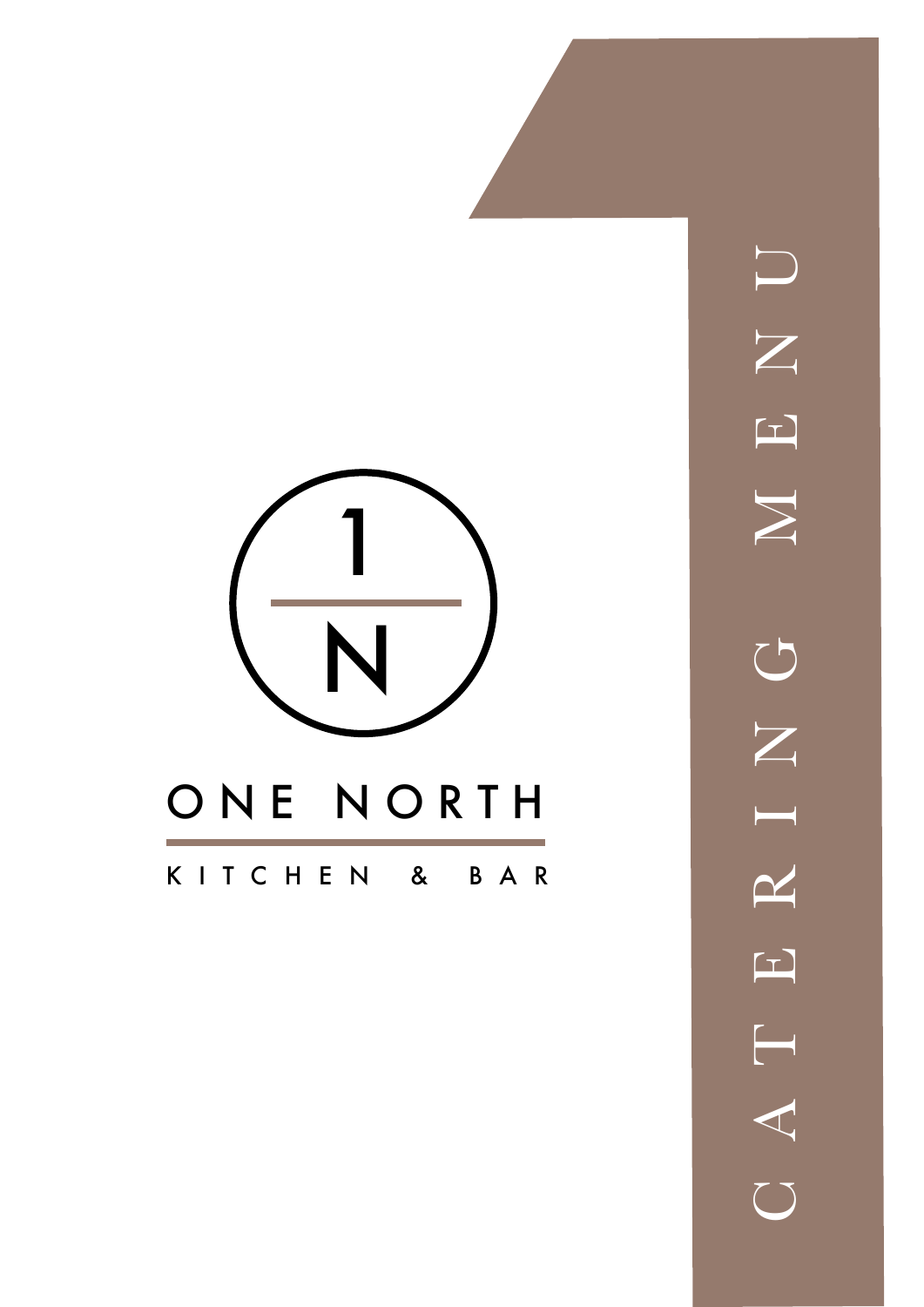

 $\overline{\mathsf{U}}$  $\sum$  $\boxed{\phantom{1}}$  $\sum$  $\bigcup$  $\overline{Z}$  $\begin{array}{c} \begin{array}{c} \begin{array}{c} \end{array} \end{array} \end{array}$  $\mathbf{\underline{\sim}}$  $\begin{bmatrix} \mathbf{L} \end{bmatrix}$ C A T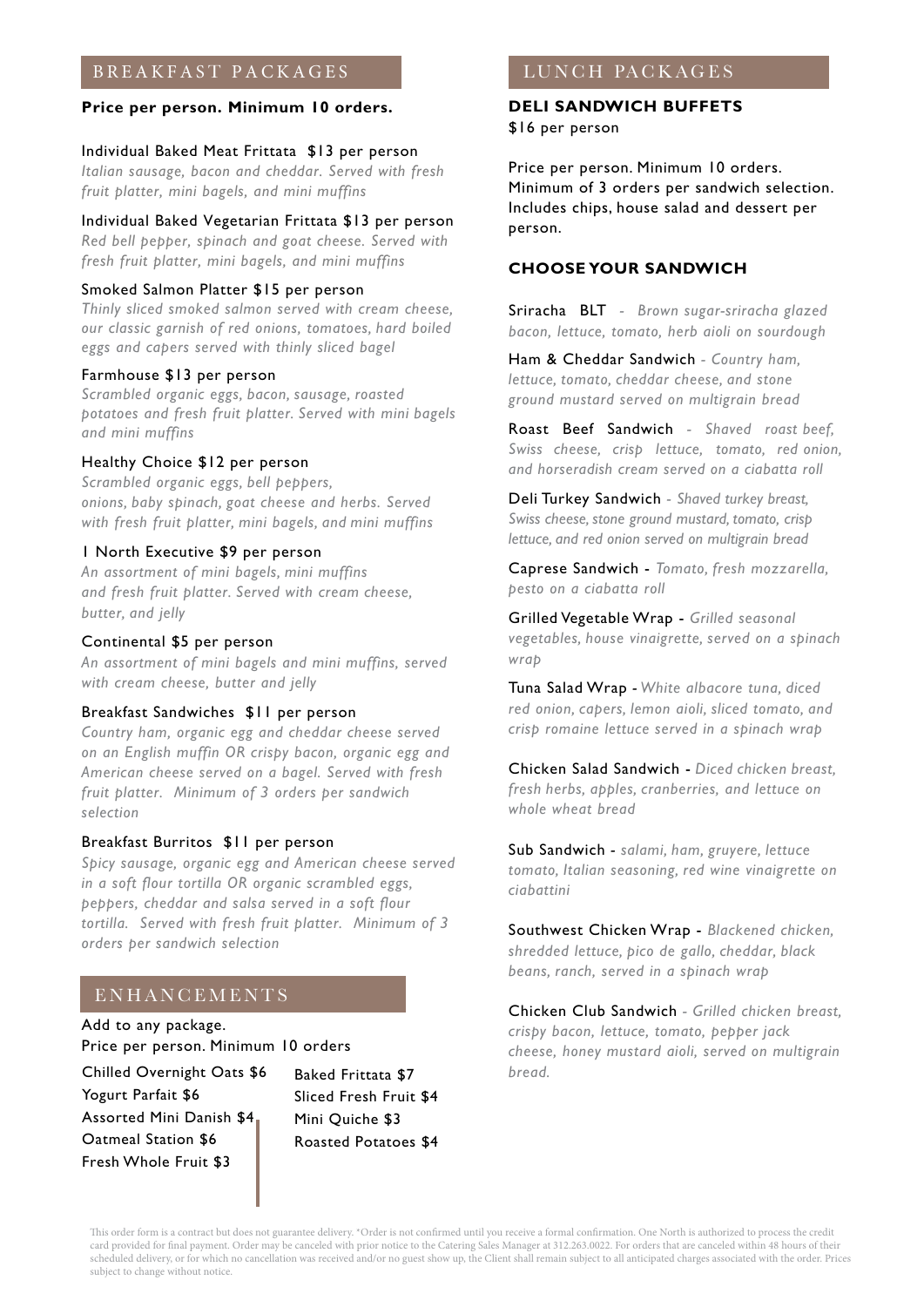# BREAKFAST PACKAGES

### **Price per person. Minimum 10 orders.**

#### Individual Baked Meat Frittata \$13 per person

*Italian sausage, bacon and cheddar. Served with fresh fruit platter, mini bagels, and mini muffins*

# Individual Baked Vegetarian Frittata \$13 per person

*Red bell pepper, spinach and goat cheese. Served with fresh fruit platter, mini bagels, and mini muffins*

# Smoked Salmon Platter \$15 per person

*Thinly sliced smoked salmon served with cream cheese, our classic garnish of red onions, tomatoes, hard boiled eggs and capers served with thinly sliced bagel* 

#### Farmhouse \$13 per person

*Scrambled organic eggs, bacon, sausage, roasted potatoes and fresh fruit platter. Served with mini bagels and mini muffins*

### Healthy Choice \$12 per person

*Scrambled organic eggs, bell peppers, onions, baby spinach, goat cheese and herbs. Served with fresh fruit platter, mini bagels, and mini muffins*

## 1 North Executive \$9 per person

*An assortment of mini bagels, mini muffins and fresh fruit platter. Served with cream cheese, butter, and jelly*

## Continental \$5 per person

*An assortment of mini bagels and mini muffins, served with cream cheese, butter and jelly*

## Breakfast Sandwiches \$11 per person

*Country ham, organic egg and cheddar cheese served on an English muffin OR crispy bacon, organic egg and American cheese served on a bagel. Served with fresh fruit platter. Minimum of 3 orders per sandwich selection*

## Breakfast Burritos \$11 per person

*Spicy sausage, organic egg and American cheese served in a soft flour tortilla OR organic scrambled eggs, peppers, cheddar and salsa served in a soft flour tortilla. Served with fresh fruit platter. Minimum of 3 orders per sandwich selection*

# ENHANCEMENTS

Add to any package. Price per person. Minimum 10 orders

Chilled Overnight Oats \$6 Yogurt Parfait \$6 Assorted Mini Danish \$4 Oatmeal Station \$6 Fresh Whole Fruit \$3

Baked Frittata \$7 Sliced Fresh Fruit \$4 Mini Quiche \$3 Roasted Potatoes \$4

# LUNCH PACKAGES

## **DELI SANDWICH BUFFETS** \$16 per person

Price per person. Minimum 10 orders. Minimum of 3 orders per sandwich selection. Includes chips, house salad and dessert per person.

# **CHOOSE YOUR SANDWICH**

Sriracha BLT *- Brown sugar-sriracha glazed bacon, lettuce, tomato, herb aioli on sourdough* 

Ham & Cheddar Sandwich *- Country ham, lettuce, tomato, cheddar cheese, and stone ground mustard served on multigrain bread*

Roast Beef Sandwich *- Shaved roast beef, Swiss cheese, crisp lettuce, tomato, red onion, and horseradish cream served on a ciabatta roll*

Deli Turkey Sandwich *- Shaved turkey breast, Swiss cheese, stone ground mustard, tomato, crisp lettuce, and red onion served on multigrain bread*

Caprese Sandwich - *Tomato, fresh mozzarella, pesto on a ciabatta roll*

Grilled Vegetable Wrap - *Grilled seasonal vegetables, house vinaigrette, served on a spinach wrap*

Tuna Salad Wrap *- White albacore tuna, diced red onion, capers, lemon aioli, sliced tomato, and crisp romaine lettuce served in a spinach wrap*

Chicken Salad Sandwich - *Diced chicken breast, fresh herbs, apples, cranberries, and lettuce on whole wheat bread*

Sub Sandwich *- salami, ham, gruyere, lettuce tomato, Italian seasoning, red wine vinaigrette on ciabattini*

Southwest Chicken Wrap - *Blackened chicken, shredded lettuce, pico de gallo, cheddar, black beans, ranch, served in a spinach wrap*

Chicken Club Sandwich *- Grilled chicken breast, crispy bacon, lettuce, tomato, pepper jack cheese, honey mustard aioli, served on multigrain bread.*

This order form is a contract but does not guarantee delivery. \*Order is not confirmed until you receive a formal confirmation. One North is authorized to process the credit card provided for final payment. Order may be canceled with prior notice to the Catering Sales Manager at 312.263.0022. For orders that are canceled within 48 hours of their scheduled delivery, or for which no cancellation was received and/or no guest show up, the Client shall remain subject to all anticipated charges associated with the order. Prices subject to change without notice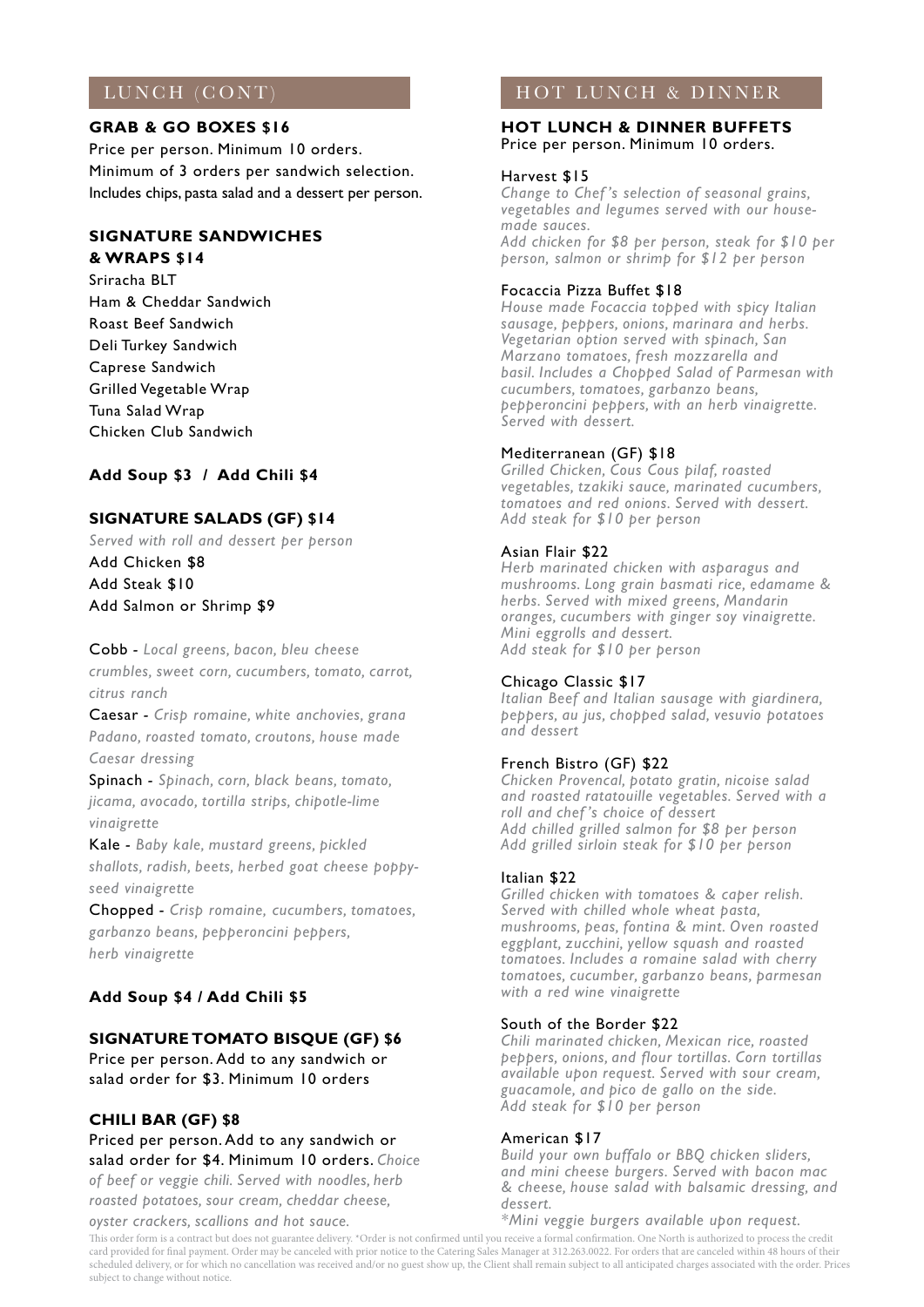# LUNCH (CONT)

## **GRAB & GO BOXES \$16**

Price per person. Minimum 10 orders. Minimum of 3 orders per sandwich selection. Includes chips, pasta salad and a dessert per person.

## **SIGNATURE SANDWICHES & WRAPS \$14**

Sriracha BLT Ham & Cheddar Sandwich Roast Beef Sandwich Deli Turkey Sandwich Caprese Sandwich Grilled Vegetable Wrap Tuna Salad Wrap Chicken Club Sandwich

# **Add Soup \$3 / Add Chili \$4**

# **SIGNATURE SALADS (GF) \$14**

*Served with roll and dessert per person*  Add Chicken \$8

Add Steak \$10 Add Salmon or Shrimp \$9

Cobb *- Local greens, bacon, bleu cheese crumbles, sweet corn, cucumbers, tomato, carrot, citrus ranch* 

Caesar *- Crisp romaine, white anchovies, grana Padano, roasted tomato, croutons, house made Caesar dressing* 

Spinach *- Spinach, corn, black beans, tomato, jicama, avocado, tortilla strips, chipotle-lime vinaigrette* 

Kale *- Baby kale, mustard greens, pickled shallots, radish, beets, herbed goat cheese poppyseed vinaigrette* 

Chopped *- Crisp romaine, cucumbers, tomatoes, garbanzo beans, pepperoncini peppers, herb vinaigrette*

# **Add Soup \$4 / Add Chili \$5**

# **SIGNATURE TOMATO BISQUE (GF) \$6**

Price per person. Add to any sandwich or salad order for \$3. Minimum 10 orders

# **CHILI BAR (GF) \$8**

Priced per person. Add to any sandwich or salad order for \$4. Minimum 10 orders. *Choice of beef or veggie chili. Served with noodles, herb* 

*roasted potatoes, sour cream, cheddar cheese, oyster crackers, scallions and hot sauce.*

# HOT LUNCH & DINNER

#### **HOT LUNCH & DINNER BUFFETS** Price per person. Minimum 10 orders.

#### Harvest \$15

*Change to Chef 's selection of seasonal grains, vegetables and legumes served with our housemade sauces. Add chicken for \$8 per person, steak for \$10 per person, salmon or shrimp for \$12 per person*

## Focaccia Pizza Buffet \$18

*House made Focaccia topped with spicy Italian sausage, peppers, onions, marinara and herbs. Vegetarian option served with spinach, San Marzano tomatoes, fresh mozzarella and basil. Includes a Chopped Salad of Parmesan with cucumbers, tomatoes, garbanzo beans, pepperoncini peppers, with an herb vinaigrette. Served with dessert.*

# Mediterranean (GF) \$18

*Grilled Chicken, Cous Cous pilaf, roasted vegetables, tzakiki sauce, marinated cucumbers, tomatoes and red onions. Served with dessert. Add steak for \$10 per person* 

## Asian Flair \$22

*Herb marinated chicken with asparagus and mushrooms. Long grain basmati rice, edamame & herbs. Served with mixed greens, Mandarin oranges, cucumbers with ginger soy vinaigrette. Mini eggrolls and dessert. Add steak for \$10 per person* 

### Chicago Classic \$17

*Italian Beef and Italian sausage with giardinera, peppers, au jus, chopped salad, vesuvio potatoes and dessert*

### French Bistro (GF) \$22

*Chicken Provencal, potato gratin, nicoise salad and roasted ratatouille vegetables. Served with a roll and chef 's choice of dessert Add chilled grilled salmon for \$8 per person Add grilled sirloin steak for \$10 per person*

### Italian \$22

*Grilled chicken with tomatoes & caper relish. Served with chilled whole wheat pasta, mushrooms, peas, fontina & mint. Oven roasted eggplant, zucchini, yellow squash and roasted tomatoes. Includes a romaine salad with cherry tomatoes, cucumber, garbanzo beans, parmesan with a red wine vinaigrette*

### South of the Border \$22

*Chili marinated chicken, Mexican rice, roasted peppers, onions, and flour tortillas. Corn tortillas available upon request. Served with sour cream, guacamole, and pico de gallo on the side. Add steak for \$10 per person* 

### American \$17

*Build your own buffalo or BBQ chicken sliders, and mini cheese burgers. Served with bacon mac & cheese, house salad with balsamic dressing, and dessert.* 

#### *\*Mini veggie burgers available upon request.*

This order form is a contract but does not guarantee delivery. \*Order is not confirmed until you receive a formal confirmation. One North is authorized to process the credit card provided for final payment. Order may be canceled with prior notice to the Catering Sales Manager at 312.263.0022. For orders that are canceled within 48 hours of their scheduled delivery, or for which no cancellation was received and/or no guest show up, the Client shall remain subject to all anticipated charges associated with the order. Prices subject to change without notice.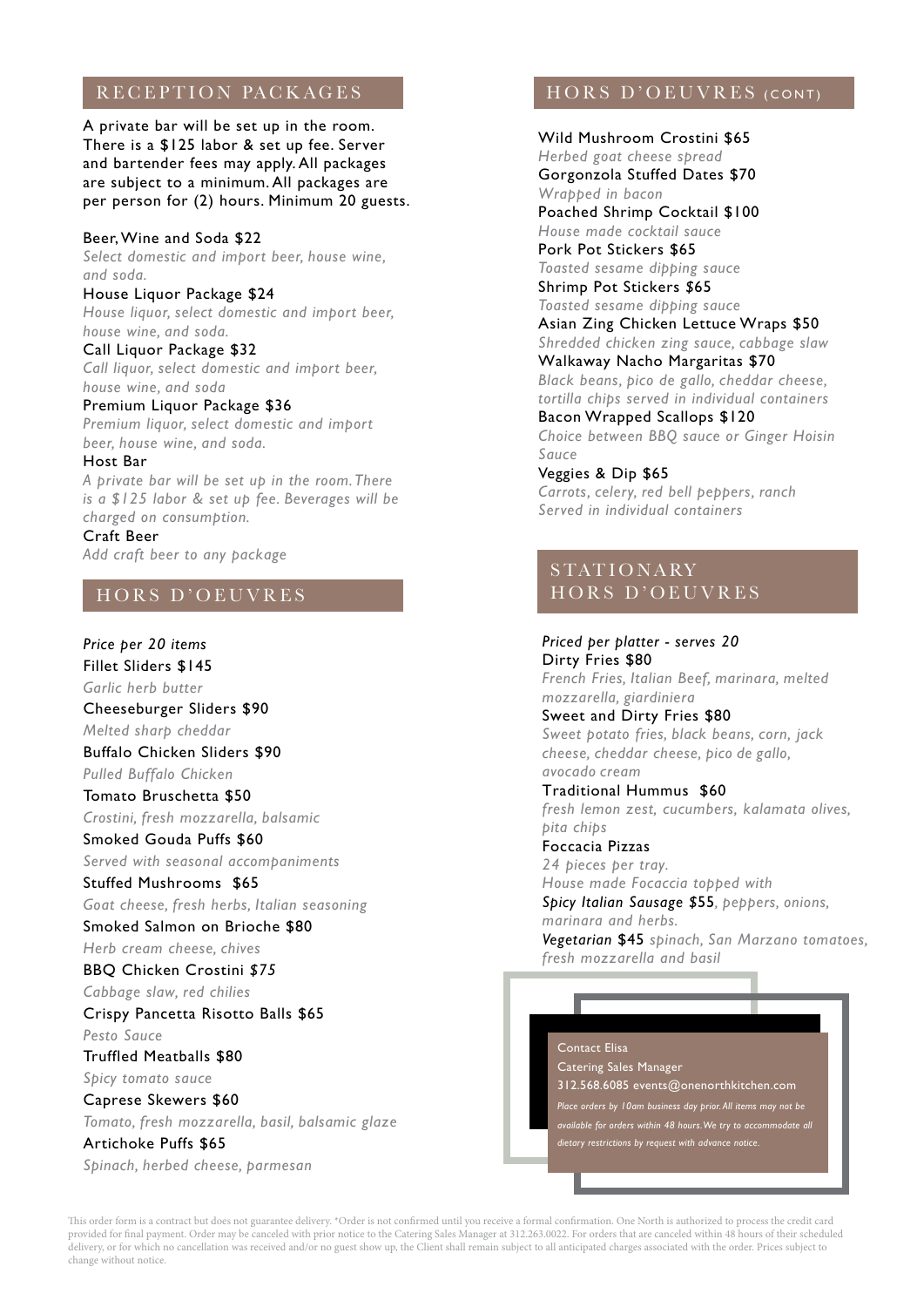# RECEPTION PACKAGES

A private bar will be set up in the room. There is a \$125 labor & set up fee. Server and bartender fees may apply. All packages are subject to a minimum. All packages are per person for (2) hours. Minimum 20 guests.

#### Beer,Wine and Soda \$22

*Select domestic and import beer, house wine, and soda.*

House Liquor Package \$24

*House liquor, select domestic and import beer, house wine, and soda.*

Call Liquor Package \$32 *Call liquor, select domestic and import beer, house wine, and soda*

Premium Liquor Package \$36 *Premium liquor, select domestic and import beer, house wine, and soda.*

#### Host Bar

*A private bar will be set up in the room. There is a \$125 labor & set up fee. Beverages will be charged on consumption.*

Craft Beer *Add craft beer to any package*

# HORS D'OEUVRES

*Price per 20 items* Fillet Sliders \$145 *Garlic herb butter* Cheeseburger Sliders \$90 *Melted sharp cheddar* Buffalo Chicken Sliders \$90 *Pulled Buffalo Chicken* Tomato Bruschetta \$50 *Crostini, fresh mozzarella, balsamic* Smoked Gouda Puffs \$60 *Served with seasonal accompaniments*  Stuffed Mushrooms \$65 *Goat cheese, fresh herbs, Italian seasoning* Smoked Salmon on Brioche \$80 *Herb cream cheese, chives* BBQ Chicken Crostini *\$75 Cabbage slaw, red chilies* Crispy Pancetta Risotto Balls \$65 *Pesto Sauce*  Truffled Meatballs \$80 *Spicy tomato sauce* Caprese Skewers \$60

*Tomato, fresh mozzarella, basil, balsamic glaze*

Artichoke Puffs \$65

*Spinach, herbed cheese, parmesan*

# HORS D'OEUVRES (CONT)

Wild Mushroom Crostini \$65 *Herbed goat cheese spread* Gorgonzola Stuffed Dates \$70 *Wrapped in bacon* Poached Shrimp Cocktail \$100 *House made cocktail sauce* Pork Pot Stickers \$65 *Toasted sesame dipping sauce* Shrimp Pot Stickers *\$*65 *Toasted sesame dipping sauce* Asian Zing Chicken Lettuce Wraps \$50 *Shredded chicken zing sauce, cabbage slaw*  Walkaway Nacho Margaritas \$70 *Black beans, pico de gallo, cheddar cheese, tortilla chips served in individual containers* Bacon Wrapped Scallops \$120 *Choice between BBQ sauce or Ginger Hoisin Sauce* Veggies & Dip \$65

*Carrots, celery, red bell peppers, ranch Served in individual containers*

# S TAT I O N A RY HORS D'OEUVRES

*Priced per platter - serves 20* Dirty Fries \$80 *French Fries, Italian Beef, marinara, melted mozzarella, giardiniera* Sweet and Dirty Fries \$80 *Sweet potato fries, black beans, corn, jack cheese, cheddar cheese, pico de gallo, avocado cream* Traditional Hummus \$60 *fresh lemon zest, cucumbers, kalamata olives, pita chips* Foccacia Pizzas *24 pieces per tray. House made Focaccia topped with Spicy Italian Sausage \$*55*, peppers, onions, marinara and herbs. Vegetarian* \$45 *spinach, San Marzano tomatoes, fresh mozzarella and basil*

#### Contact Elisa

Catering Sales Manager 312.568.6085 events@onenorthkitchen.com *Place orders by 10am business day prior. All items may not be available for orders within 48 hours.We try to accommodate all*

*dietary restrictions by request with advance notice.*

This order form is a contract but does not guarantee delivery. \*Order is not confirmed until you receive a formal confirmation. One North is authorized to process the credit card provided for final payment. Order may be canceled with prior notice to the Catering Sales Manager at 312.263.0022. For orders that are canceled within 48 hours of their scheduled delivery, or for which no cancellation was received and/or no guest show up, the Client shall remain subject to all anticipated charges associated with the order. Prices subject to change without notice.